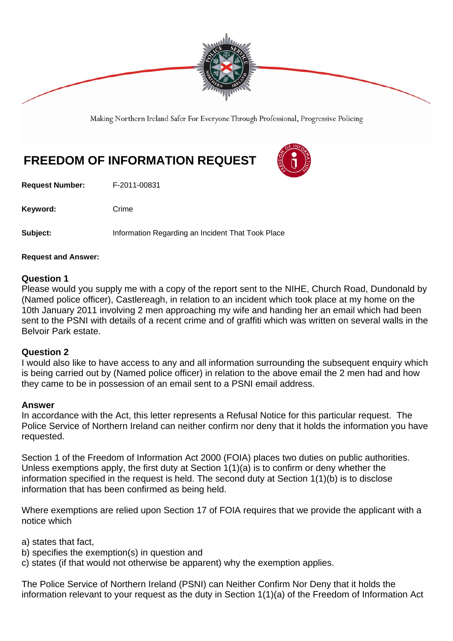

Making Northern Ireland Safer For Everyone Through Professional, Progressive Policing

# **FREEDOM OF INFORMATION REQUEST**

**Request Number:** F-2011-00831

Keyword: Crime

**Subject:** Information Regarding an Incident That Took Place

**Request and Answer:** 

## **Question 1**

Please would you supply me with a copy of the report sent to the NIHE, Church Road, Dundonald by (Named police officer), Castlereagh, in relation to an incident which took place at my home on the 10th January 2011 involving 2 men approaching my wife and handing her an email which had been sent to the PSNI with details of a recent crime and of graffiti which was written on several walls in the Belvoir Park estate.

## **Question 2**

I would also like to have access to any and all information surrounding the subsequent enquiry which is being carried out by (Named police officer) in relation to the above email the 2 men had and how they came to be in possession of an email sent to a PSNI email address.

#### **Answer**

In accordance with the Act, this letter represents a Refusal Notice for this particular request. The Police Service of Northern Ireland can neither confirm nor deny that it holds the information you have requested.

Section 1 of the Freedom of Information Act 2000 (FOIA) places two duties on public authorities. Unless exemptions apply, the first duty at Section 1(1)(a) is to confirm or deny whether the information specified in the request is held. The second duty at Section 1(1)(b) is to disclose information that has been confirmed as being held.

Where exemptions are relied upon Section 17 of FOIA requires that we provide the applicant with a notice which

a) states that fact,

- b) specifies the exemption(s) in question and
- c) states (if that would not otherwise be apparent) why the exemption applies.

The Police Service of Northern Ireland (PSNI) can Neither Confirm Nor Deny that it holds the information relevant to your request as the duty in Section 1(1)(a) of the Freedom of Information Act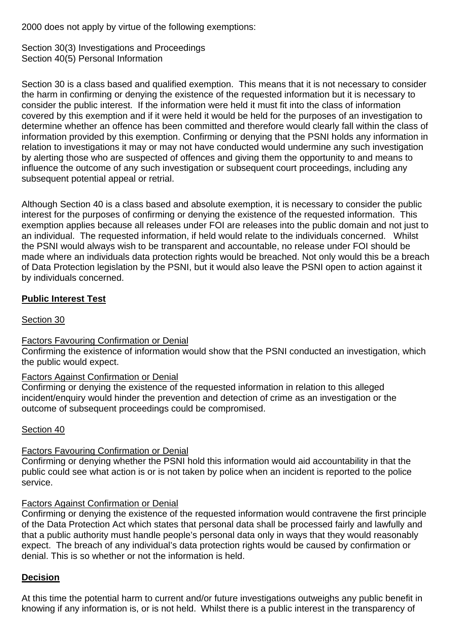2000 does not apply by virtue of the following exemptions:

Section 30(3) Investigations and Proceedings Section 40(5) Personal Information

Section 30 is a class based and qualified exemption. This means that it is not necessary to consider the harm in confirming or denying the existence of the requested information but it is necessary to consider the public interest. If the information were held it must fit into the class of information covered by this exemption and if it were held it would be held for the purposes of an investigation to determine whether an offence has been committed and therefore would clearly fall within the class of information provided by this exemption. Confirming or denying that the PSNI holds any information in relation to investigations it may or may not have conducted would undermine any such investigation by alerting those who are suspected of offences and giving them the opportunity to and means to influence the outcome of any such investigation or subsequent court proceedings, including any subsequent potential appeal or retrial.

Although Section 40 is a class based and absolute exemption, it is necessary to consider the public interest for the purposes of confirming or denying the existence of the requested information. This exemption applies because all releases under FOI are releases into the public domain and not just to an individual. The requested information, if held would relate to the individuals concerned. Whilst the PSNI would always wish to be transparent and accountable, no release under FOI should be made where an individuals data protection rights would be breached. Not only would this be a breach of Data Protection legislation by the PSNI, but it would also leave the PSNI open to action against it by individuals concerned.

# **Public Interest Test**

## Section 30

## Factors Favouring Confirmation or Denial

Confirming the existence of information would show that the PSNI conducted an investigation, which the public would expect.

## Factors Against Confirmation or Denial

Confirming or denying the existence of the requested information in relation to this alleged incident/enquiry would hinder the prevention and detection of crime as an investigation or the outcome of subsequent proceedings could be compromised.

## Section 40

## Factors Favouring Confirmation or Denial

Confirming or denying whether the PSNI hold this information would aid accountability in that the public could see what action is or is not taken by police when an incident is reported to the police service.

## Factors Against Confirmation or Denial

Confirming or denying the existence of the requested information would contravene the first principle of the Data Protection Act which states that personal data shall be processed fairly and lawfully and that a public authority must handle people's personal data only in ways that they would reasonably expect. The breach of any individual's data protection rights would be caused by confirmation or denial. This is so whether or not the information is held.

## **Decision**

At this time the potential harm to current and/or future investigations outweighs any public benefit in knowing if any information is, or is not held. Whilst there is a public interest in the transparency of